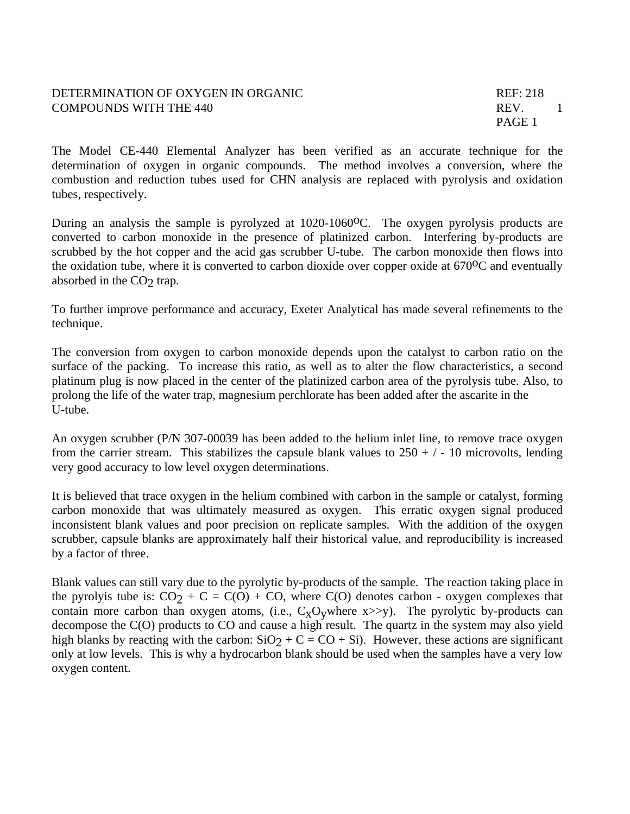## DETERMINATION OF OXYGEN IN ORGANIC REF: 218 COMPOUNDS WITH THE 440 REV. 1

The Model CE-440 Elemental Analyzer has been verified as an accurate technique for the determination of oxygen in organic compounds. The method involves a conversion, where the combustion and reduction tubes used for CHN analysis are replaced with pyrolysis and oxidation tubes, respectively.

During an analysis the sample is pyrolyzed at 1020-1060<sup>o</sup>C. The oxygen pyrolysis products are converted to carbon monoxide in the presence of platinized carbon. Interfering by-products are scrubbed by the hot copper and the acid gas scrubber U-tube. The carbon monoxide then flows into the oxidation tube, where it is converted to carbon dioxide over copper oxide at  $670^{\circ}$ C and eventually absorbed in the  $CO<sub>2</sub>$  trap.

To further improve performance and accuracy, Exeter Analytical has made several refinements to the technique.

The conversion from oxygen to carbon monoxide depends upon the catalyst to carbon ratio on the surface of the packing. To increase this ratio, as well as to alter the flow characteristics, a second platinum plug is now placed in the center of the platinized carbon area of the pyrolysis tube. Also, to prolong the life of the water trap, magnesium perchlorate has been added after the ascarite in the U-tube.

An oxygen scrubber (P/N 307-00039 has been added to the helium inlet line, to remove trace oxygen from the carrier stream. This stabilizes the capsule blank values to  $250 + / - 10$  microvolts, lending very good accuracy to low level oxygen determinations.

It is believed that trace oxygen in the helium combined with carbon in the sample or catalyst, forming carbon monoxide that was ultimately measured as oxygen. This erratic oxygen signal produced inconsistent blank values and poor precision on replicate samples. With the addition of the oxygen scrubber, capsule blanks are approximately half their historical value, and reproducibility is increased by a factor of three.

Blank values can still vary due to the pyrolytic by-products of the sample. The reaction taking place in the pyrolyis tube is:  $CO_2 + C = C(O) + CO$ , where  $C(O)$  denotes carbon - oxygen complexes that contain more carbon than oxygen atoms, (i.e.,  $C_xO_v$  where x>>y). The pyrolytic by-products can decompose the C(O) products to CO and cause a high result. The quartz in the system may also yield high blanks by reacting with the carbon:  $SiO<sub>2</sub> + C = CO + Si$ ). However, these actions are significant only at low levels. This is why a hydrocarbon blank should be used when the samples have a very low oxygen content.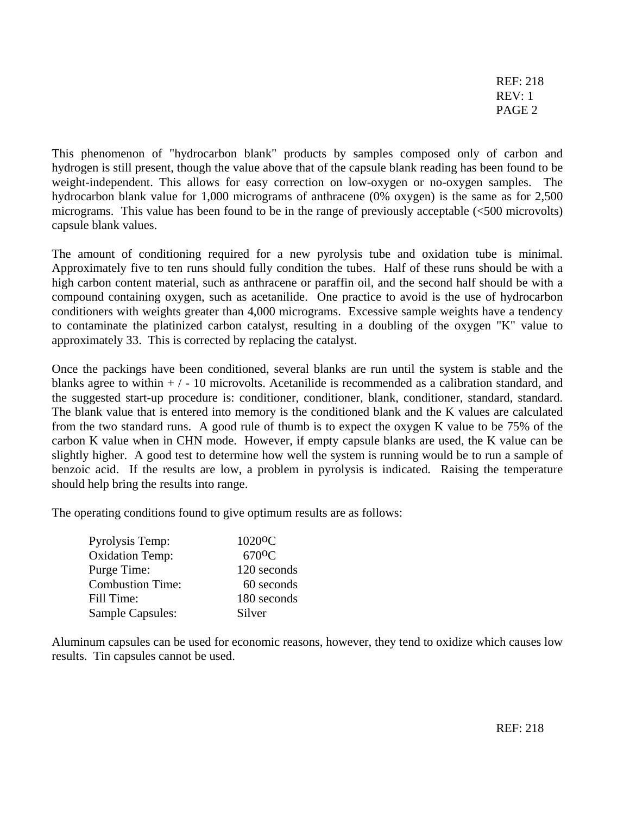REF: 218 REV: 1 PAGE 2

This phenomenon of "hydrocarbon blank" products by samples composed only of carbon and hydrogen is still present, though the value above that of the capsule blank reading has been found to be weight-independent. This allows for easy correction on low-oxygen or no-oxygen samples. The hydrocarbon blank value for 1,000 micrograms of anthracene (0% oxygen) is the same as for 2,500 micrograms. This value has been found to be in the range of previously acceptable (<500 microvolts) capsule blank values.

The amount of conditioning required for a new pyrolysis tube and oxidation tube is minimal. Approximately five to ten runs should fully condition the tubes. Half of these runs should be with a high carbon content material, such as anthracene or paraffin oil, and the second half should be with a compound containing oxygen, such as acetanilide. One practice to avoid is the use of hydrocarbon conditioners with weights greater than 4,000 micrograms. Excessive sample weights have a tendency to contaminate the platinized carbon catalyst, resulting in a doubling of the oxygen "K" value to approximately 33. This is corrected by replacing the catalyst.

Once the packings have been conditioned, several blanks are run until the system is stable and the blanks agree to within  $+/-10$  microvolts. Acetanilide is recommended as a calibration standard, and the suggested start-up procedure is: conditioner, conditioner, blank, conditioner, standard, standard. The blank value that is entered into memory is the conditioned blank and the K values are calculated from the two standard runs. A good rule of thumb is to expect the oxygen K value to be 75% of the carbon K value when in CHN mode. However, if empty capsule blanks are used, the K value can be slightly higher. A good test to determine how well the system is running would be to run a sample of benzoic acid. If the results are low, a problem in pyrolysis is indicated. Raising the temperature should help bring the results into range.

The operating conditions found to give optimum results are as follows:

| Pyrolysis Temp:         | 1020 <sup>o</sup> C |
|-------------------------|---------------------|
| <b>Oxidation Temp:</b>  | 670 <sup>o</sup> C  |
| Purge Time:             | 120 seconds         |
| <b>Combustion Time:</b> | 60 seconds          |
| Fill Time:              | 180 seconds         |
| <b>Sample Capsules:</b> | Silver              |

Aluminum capsules can be used for economic reasons, however, they tend to oxidize which causes low results. Tin capsules cannot be used.